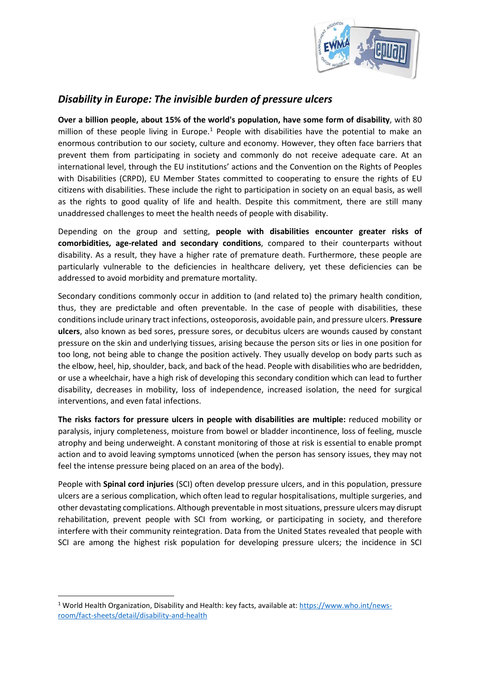

## *Disability in Europe: The invisible burden of pressure ulcers*

**Over a billion people, about 15% of the world's population, have some form of disability**, with 80 million of these people living in Europe.<sup>[1](#page-0-0)</sup> People with disabilities have the potential to make an enormous contribution to our society, culture and economy. However, they often face barriers that prevent them from participating in society and commonly do not receive adequate care. At an international level, through the EU institutions' actions and the Convention on the Rights of Peoples with Disabilities (CRPD), EU Member States committed to cooperating to ensure the rights of EU citizens with disabilities. These include the right to participation in society on an equal basis, as well as the rights to good quality of life and health. Despite this commitment, there are still many unaddressed challenges to meet the health needs of people with disability.

Depending on the group and setting, **people with disabilities encounter greater risks of comorbidities, age-related and secondary conditions**, compared to their counterparts without disability. As a result, they have a higher rate of premature death. Furthermore, these people are particularly vulnerable to the deficiencies in healthcare delivery, yet these deficiencies can be addressed to avoid morbidity and premature mortality.

Secondary conditions commonly occur in addition to (and related to) the primary health condition, thus, they are predictable and often preventable. In the case of people with disabilities, these conditionsinclude urinary tract infections, osteoporosis, avoidable pain, and pressure ulcers. **Pressure ulcers**, also known as bed sores, pressure sores, or decubitus ulcers are wounds caused by constant pressure on the skin and underlying tissues, arising because the person sits or lies in one position for too long, not being able to change the position actively. They usually develop on body parts such as the elbow, heel, hip, shoulder, back, and back of the head. People with disabilities who are bedridden, or use a wheelchair, have a high risk of developing this secondary condition which can lead to further disability, decreases in mobility, loss of independence, increased isolation, the need for surgical interventions, and even fatal infections.

**The risks factors for pressure ulcers in people with disabilities are multiple:** reduced mobility or paralysis, injury completeness, moisture from bowel or bladder incontinence, loss of feeling, muscle atrophy and being underweight. A constant monitoring of those at risk is essential to enable prompt action and to avoid leaving symptoms unnoticed (when the person has sensory issues, they may not feel the intense pressure being placed on an area of the body).

People with **Spinal cord injuries** (SCI) often develop pressure ulcers, and in this population, pressure ulcers are a serious complication, which often lead to regular hospitalisations, multiple surgeries, and other devastating complications. Although preventable in most situations, pressure ulcers may disrupt rehabilitation, prevent people with SCI from working, or participating in society, and therefore interfere with their community reintegration. Data from the United States revealed that people with SCI are among the highest risk population for developing pressure ulcers; the incidence in SCI

<span id="page-0-0"></span> <sup>1</sup> World Health Organization, Disability and Health: key facts, available at[: https://www.who.int/news](https://www.who.int/news-room/fact-sheets/detail/disability-and-health)[room/fact-sheets/detail/disability-and-health](https://www.who.int/news-room/fact-sheets/detail/disability-and-health)